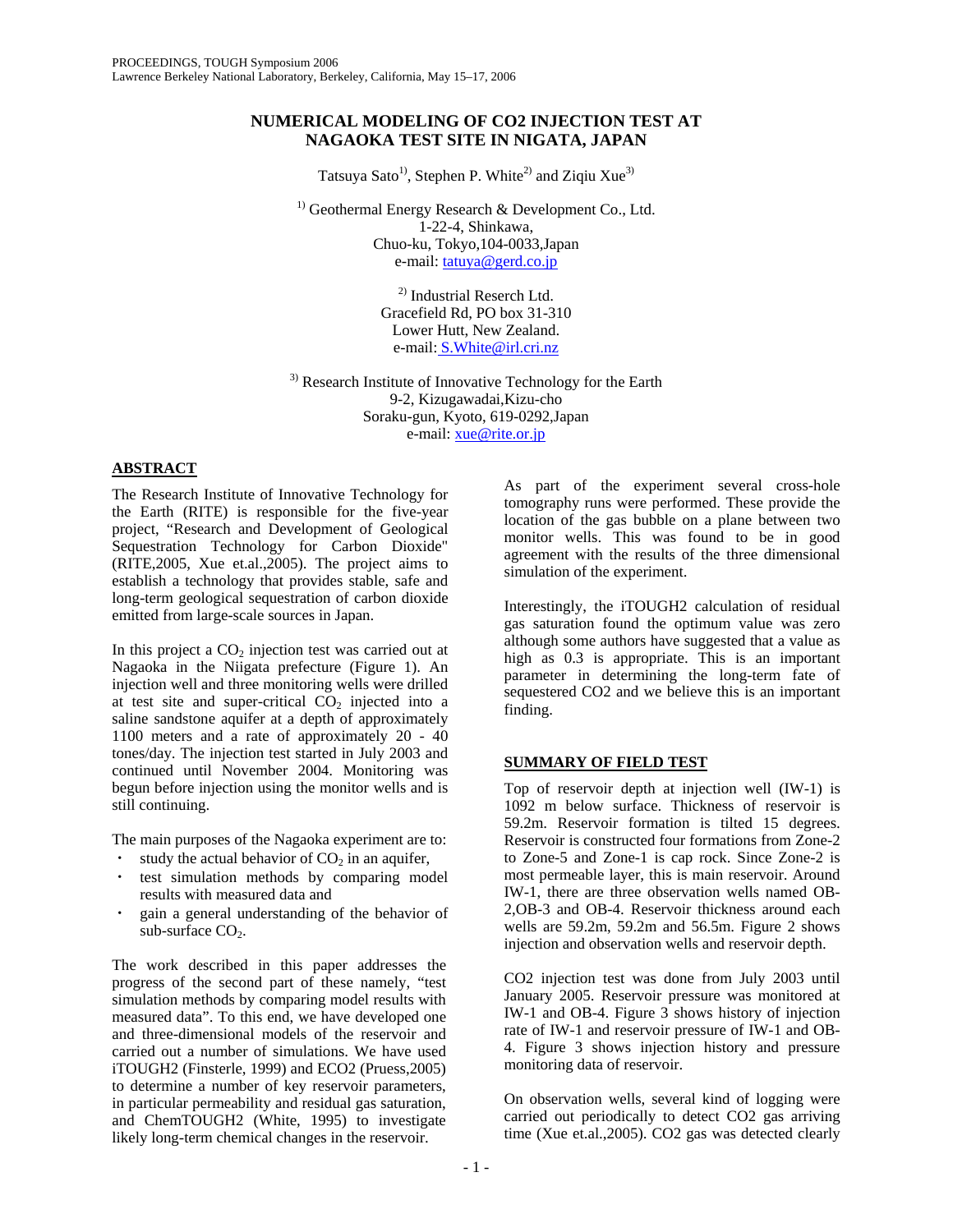## **NUMERICAL MODELING OF CO2 INJECTION TEST AT NAGAOKA TEST SITE IN NIGATA, JAPAN**

Tatsuya Sato<sup>1)</sup>, Stephen P. White<sup>2)</sup> and Ziqiu Xue<sup>3)</sup>

<sup>1)</sup> Geothermal Energy Research & Development Co., Ltd. 1-22-4, Shinkawa, Chuo-ku, Tokyo,104-0033,Japan e-mail: tatuya@gerd.co.jp

> 2) Industrial Reserch Ltd. Gracefield Rd, PO box 31-310 Lower Hutt, New Zealand. e-mail: S.White@irl.cri.nz

<sup>3)</sup> Research Institute of Innovative Technology for the Earth 9-2, Kizugawadai,Kizu-cho Soraku-gun, Kyoto, 619-0292,Japan e-mail: xue@rite.or.jp

## **ABSTRACT**

The Research Institute of Innovative Technology for the Earth (RITE) is responsible for the five-year project, "Research and Development of Geological Sequestration Technology for Carbon Dioxide" (RITE,2005, Xue et.al.,2005). The project aims to establish a technology that provides stable, safe and long-term geological sequestration of carbon dioxide emitted from large-scale sources in Japan.

In this project a  $CO<sub>2</sub>$  injection test was carried out at Nagaoka in the Niigata prefecture (Figure 1). An injection well and three monitoring wells were drilled at test site and super-critical  $CO<sub>2</sub>$  injected into a saline sandstone aquifer at a depth of approximately 1100 meters and a rate of approximately 20 - 40 tones/day. The injection test started in July 2003 and continued until November 2004. Monitoring was begun before injection using the monitor wells and is still continuing.

The main purposes of the Nagaoka experiment are to:

- study the actual behavior of  $CO<sub>2</sub>$  in an aquifer,
- test simulation methods by comparing model results with measured data and
- gain a general understanding of the behavior of sub-surface  $CO<sub>2</sub>$ .

The work described in this paper addresses the progress of the second part of these namely, "test simulation methods by comparing model results with measured data". To this end, we have developed one and three-dimensional models of the reservoir and carried out a number of simulations. We have used iTOUGH2 (Finsterle, 1999) and ECO2 (Pruess,2005) to determine a number of key reservoir parameters, in particular permeability and residual gas saturation, and ChemTOUGH2 (White, 1995) to investigate likely long-term chemical changes in the reservoir.

As part of the experiment several cross-hole tomography runs were performed. These provide the location of the gas bubble on a plane between two monitor wells. This was found to be in good agreement with the results of the three dimensional simulation of the experiment.

Interestingly, the iTOUGH2 calculation of residual gas saturation found the optimum value was zero although some authors have suggested that a value as high as 0.3 is appropriate. This is an important parameter in determining the long-term fate of sequestered CO2 and we believe this is an important finding.

# **SUMMARY OF FIELD TEST**

Top of reservoir depth at injection well (IW-1) is 1092 m below surface. Thickness of reservoir is 59.2m. Reservoir formation is tilted 15 degrees. Reservoir is constructed four formations from Zone-2 to Zone-5 and Zone-1 is cap rock. Since Zone-2 is most permeable layer, this is main reservoir. Around IW-1, there are three observation wells named OB-2,OB-3 and OB-4. Reservoir thickness around each wells are 59.2m, 59.2m and 56.5m. Figure 2 shows injection and observation wells and reservoir depth.

CO2 injection test was done from July 2003 until January 2005. Reservoir pressure was monitored at IW-1 and OB-4. Figure 3 shows history of injection rate of IW-1 and reservoir pressure of IW-1 and OB-4. Figure 3 shows injection history and pressure monitoring data of reservoir.

On observation wells, several kind of logging were carried out periodically to detect CO2 gas arriving time (Xue et.al.,2005). CO2 gas was detected clearly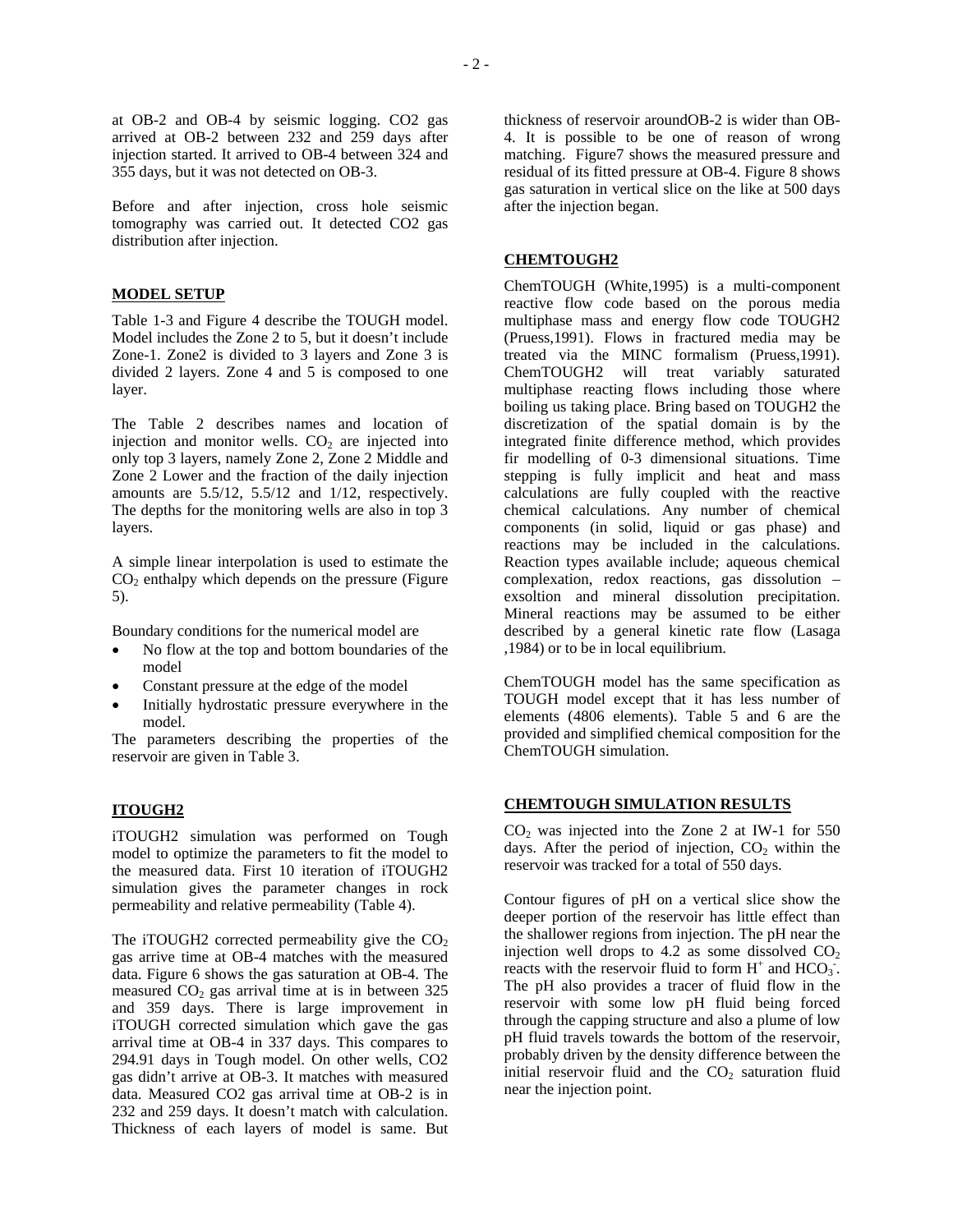at OB-2 and OB-4 by seismic logging. CO2 gas arrived at OB-2 between 232 and 259 days after injection started. It arrived to OB-4 between 324 and 355 days, but it was not detected on OB-3.

Before and after injection, cross hole seismic tomography was carried out. It detected CO2 gas distribution after injection.

#### **MODEL SETUP**

Table 1-3 and Figure 4 describe the TOUGH model. Model includes the Zone 2 to 5, but it doesn't include Zone-1. Zone2 is divided to 3 layers and Zone 3 is divided 2 layers. Zone 4 and 5 is composed to one layer.

The Table 2 describes names and location of injection and monitor wells.  $CO<sub>2</sub>$  are injected into only top 3 layers, namely Zone 2, Zone 2 Middle and Zone 2 Lower and the fraction of the daily injection amounts are 5.5/12, 5.5/12 and 1/12, respectively. The depths for the monitoring wells are also in top 3 layers.

A simple linear interpolation is used to estimate the  $CO<sub>2</sub>$  enthalpy which depends on the pressure (Figure 5).

Boundary conditions for the numerical model are

- No flow at the top and bottom boundaries of the model
- Constant pressure at the edge of the model
- Initially hydrostatic pressure everywhere in the model.

The parameters describing the properties of the reservoir are given in Table 3.

### **ITOUGH2**

iTOUGH2 simulation was performed on Tough model to optimize the parameters to fit the model to the measured data. First 10 iteration of iTOUGH2 simulation gives the parameter changes in rock permeability and relative permeability (Table 4).

The iTOUGH2 corrected permeability give the  $CO<sub>2</sub>$ gas arrive time at OB-4 matches with the measured data. Figure 6 shows the gas saturation at OB-4. The measured  $CO<sub>2</sub>$  gas arrival time at is in between 325 and 359 days. There is large improvement in iTOUGH corrected simulation which gave the gas arrival time at OB-4 in 337 days. This compares to 294.91 days in Tough model. On other wells, CO2 gas didn't arrive at OB-3. It matches with measured data. Measured CO2 gas arrival time at OB-2 is in 232 and 259 days. It doesn't match with calculation. Thickness of each layers of model is same. But

thickness of reservoir aroundOB-2 is wider than OB-4. It is possible to be one of reason of wrong matching. Figure7 shows the measured pressure and residual of its fitted pressure at OB-4. Figure 8 shows gas saturation in vertical slice on the like at 500 days after the injection began.

## **CHEMTOUGH2**

ChemTOUGH (White,1995) is a multi-component reactive flow code based on the porous media multiphase mass and energy flow code TOUGH2 (Pruess,1991). Flows in fractured media may be treated via the MINC formalism (Pruess,1991). ChemTOUGH2 will treat variably saturated multiphase reacting flows including those where boiling us taking place. Bring based on TOUGH2 the discretization of the spatial domain is by the integrated finite difference method, which provides fir modelling of 0-3 dimensional situations. Time stepping is fully implicit and heat and mass calculations are fully coupled with the reactive chemical calculations. Any number of chemical components (in solid, liquid or gas phase) and reactions may be included in the calculations. Reaction types available include; aqueous chemical complexation, redox reactions, gas dissolution – exsoltion and mineral dissolution precipitation. Mineral reactions may be assumed to be either described by a general kinetic rate flow (Lasaga ,1984) or to be in local equilibrium.

ChemTOUGH model has the same specification as TOUGH model except that it has less number of elements (4806 elements). Table 5 and 6 are the provided and simplified chemical composition for the ChemTOUGH simulation.

#### **CHEMTOUGH SIMULATION RESULTS**

 $CO<sub>2</sub>$  was injected into the Zone 2 at IW-1 for 550 days. After the period of injection,  $CO<sub>2</sub>$  within the reservoir was tracked for a total of 550 days.

Contour figures of pH on a vertical slice show the deeper portion of the reservoir has little effect than the shallower regions from injection. The pH near the injection well drops to 4.2 as some dissolved  $CO<sub>2</sub>$ reacts with the reservoir fluid to form  $H^+$  and  $HCO_3$ . The pH also provides a tracer of fluid flow in the reservoir with some low pH fluid being forced through the capping structure and also a plume of low pH fluid travels towards the bottom of the reservoir, probably driven by the density difference between the initial reservoir fluid and the  $CO<sub>2</sub>$  saturation fluid near the injection point.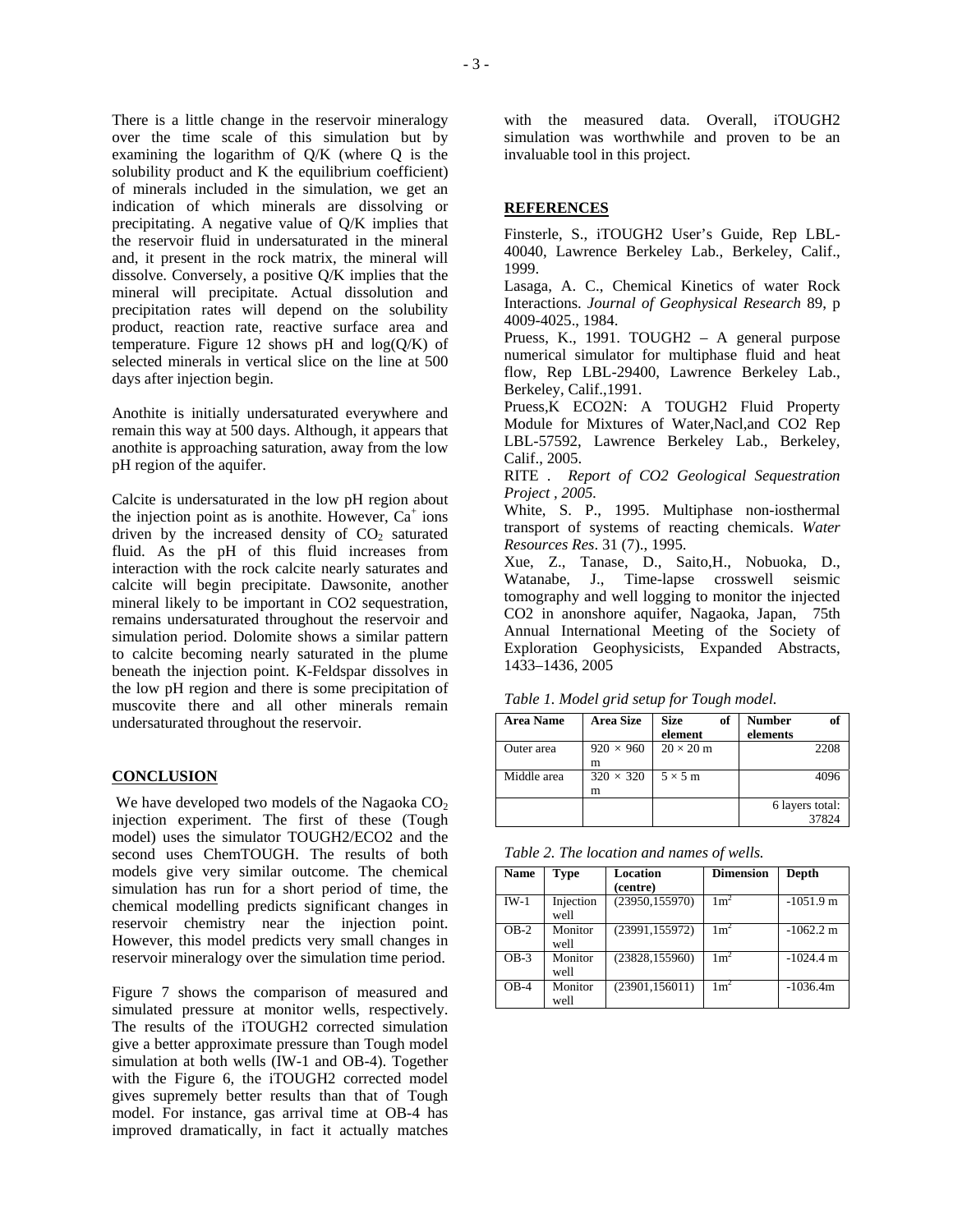There is a little change in the reservoir mineralogy over the time scale of this simulation but by examining the logarithm of Q/K (where Q is the solubility product and K the equilibrium coefficient) of minerals included in the simulation, we get an indication of which minerals are dissolving or precipitating. A negative value of Q/K implies that the reservoir fluid in undersaturated in the mineral and, it present in the rock matrix, the mineral will dissolve. Conversely, a positive Q/K implies that the mineral will precipitate. Actual dissolution and precipitation rates will depend on the solubility product, reaction rate, reactive surface area and temperature. Figure 12 shows pH and  $log(O/K)$  of selected minerals in vertical slice on the line at 500 days after injection begin.

Anothite is initially undersaturated everywhere and remain this way at 500 days. Although, it appears that anothite is approaching saturation, away from the low pH region of the aquifer.

Calcite is undersaturated in the low pH region about the injection point as is anothite. However,  $Ca^+$  ions driven by the increased density of  $CO<sub>2</sub>$  saturated fluid. As the pH of this fluid increases from interaction with the rock calcite nearly saturates and calcite will begin precipitate. Dawsonite, another mineral likely to be important in CO2 sequestration, remains undersaturated throughout the reservoir and simulation period. Dolomite shows a similar pattern to calcite becoming nearly saturated in the plume beneath the injection point. K-Feldspar dissolves in the low pH region and there is some precipitation of muscovite there and all other minerals remain undersaturated throughout the reservoir.

### **CONCLUSION**

We have developed two models of the Nagaoka CO<sub>2</sub> injection experiment. The first of these (Tough model) uses the simulator TOUGH2/ECO2 and the second uses ChemTOUGH. The results of both models give very similar outcome. The chemical simulation has run for a short period of time, the chemical modelling predicts significant changes in reservoir chemistry near the injection point. However, this model predicts very small changes in reservoir mineralogy over the simulation time period.

Figure 7 shows the comparison of measured and simulated pressure at monitor wells, respectively. The results of the iTOUGH2 corrected simulation give a better approximate pressure than Tough model simulation at both wells (IW-1 and OB-4). Together with the Figure 6, the iTOUGH2 corrected model gives supremely better results than that of Tough model. For instance, gas arrival time at OB-4 has improved dramatically, in fact it actually matches

with the measured data. Overall, iTOUGH2 simulation was worthwhile and proven to be an invaluable tool in this project.

#### **REFERENCES**

Finsterle, S., iTOUGH2 User's Guide, Rep LBL-40040, Lawrence Berkeley Lab., Berkeley, Calif., 1999.

Lasaga, A. C., Chemical Kinetics of water Rock Interactions. *Journal of Geophysical Research* 89, p 4009-4025., 1984.

Pruess, K., 1991. TOUGH2 – A general purpose numerical simulator for multiphase fluid and heat flow, Rep LBL-29400, Lawrence Berkeley Lab., Berkeley, Calif.,1991.

Pruess,K ECO2N: A TOUGH2 Fluid Property Module for Mixtures of Water,Nacl,and CO2 Rep LBL-57592, Lawrence Berkeley Lab., Berkeley, Calif., 2005.

RITE . *Report of CO2 Geological Sequestration Project , 2005.*

White, S. P., 1995. Multiphase non-iosthermal transport of systems of reacting chemicals. *Water Resources Res*. 31 (7)., 1995.

Xue, Z., Tanase, D., Saito,H., Nobuoka, D., Watanabe, J., Time-lapse crosswell seismic tomography and well logging to monitor the injected CO2 in anonshore aquifer, Nagaoka, Japan, 75th Annual International Meeting of the Society of Exploration Geophysicists, Expanded Abstracts, 1433–1436, 2005

*Table 1. Model grid setup for Tough model.* 

| <b>Area Name</b> | <b>Area Size</b> | <b>Size</b><br>of | <b>Number</b><br>of |
|------------------|------------------|-------------------|---------------------|
|                  |                  | element           | elements            |
| Outer area       | $920 \times 960$ | $20 \times 20$ m  | 2208                |
|                  | m                |                   |                     |
| Middle area      | $320 \times 320$ | $5 \times 5$ m    | 4096                |
|                  | m                |                   |                     |
|                  |                  |                   | 6 layers total:     |
|                  |                  |                   | 37824               |

*Table 2. The location and names of wells.* 

| <b>Name</b> | <b>Type</b>       | Location<br>(centre) | <b>Dimension</b> | Depth               |
|-------------|-------------------|----------------------|------------------|---------------------|
| $IW-1$      | Injection<br>well | (23950, 155970)      | $1 \text{ m}^2$  | $-1051.9$ m         |
| $OB-2$      | Monitor<br>well   | (23991, 155972)      | $1 \text{ m}^2$  | $-1062.2 \text{ m}$ |
| $OB-3$      | Monitor<br>well   | (23828, 155960)      | $1 \text{ m}^2$  | $-1024.4$ m         |
| $OB-4$      | Monitor<br>well   | (23901, 156011)      | $1 \text{ m}^2$  | $-1036.4m$          |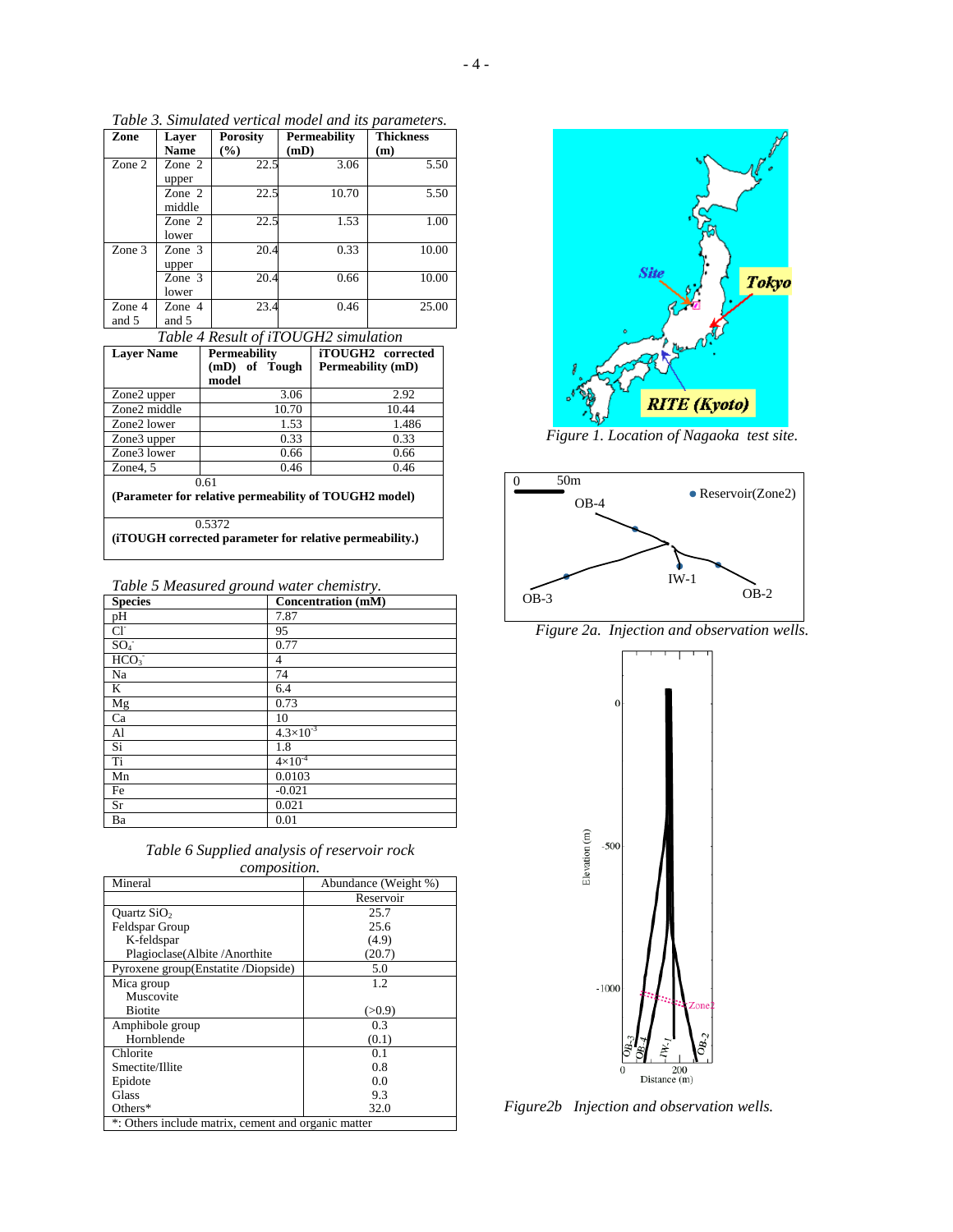| Zone            | Laver<br><b>Name</b> | <b>Porosity</b><br>$\frac{6}{9}$ | Permeability<br>(mD) | <b>Thickness</b><br>(m) |
|-----------------|----------------------|----------------------------------|----------------------|-------------------------|
| Zone 2          | Zone $2$<br>upper    | 22.5                             | 3.06                 | 5.50                    |
|                 | Zone $2$<br>middle   | 22.5                             | 10.70                | 5.50                    |
|                 | Zone 2<br>lower      | 22.5                             | 1.53                 | 1.00                    |
| Zone 3          | Zone $3$<br>upper    | 20.4                             | 0.33                 | 10.00                   |
|                 | Zone 3<br>lower      | 20.4                             | 0.66                 | 10.00                   |
| Zone 4<br>and 5 | Zone 4<br>and 5      | 23.4                             | 0.46                 | 25.00                   |

*Table 3. Simulated vertical model and its parameters.* 

| Table 4 Result of iTOUGH2 simulation                    |                     |                   |  |
|---------------------------------------------------------|---------------------|-------------------|--|
| <b>Laver Name</b>                                       | <b>Permeability</b> | iTOUGH2 corrected |  |
|                                                         | (mD) of Tough       | Permeability (mD) |  |
|                                                         | model               |                   |  |
| Zone2 upper                                             | 3.06                | 2.92              |  |
| Zone2 middle                                            | 10.70               | 10.44             |  |
| Zone2 lower                                             | 1.53                | 1.486             |  |
| Zone <sub>3</sub> upper                                 | 0.33                | 0.33              |  |
| Zone3 lower                                             | 0.66                | 0.66              |  |
| Zone $4, 5$                                             | 0.46                | 0.46              |  |
| 0.61                                                    |                     |                   |  |
| (Parameter for relative permeability of TOUGH2 model)   |                     |                   |  |
| 0.5372                                                  |                     |                   |  |
| (iTOUGH corrected parameter for relative permeability.) |                     |                   |  |

|  | Table 5 Measured ground water chemistry. |  |  |  |
|--|------------------------------------------|--|--|--|
|--|------------------------------------------|--|--|--|

| ັ<br><b>Species</b> | <b>Concentration</b> (mM) |
|---------------------|---------------------------|
| pH                  | 7.87                      |
| $Cl^-$              | 95                        |
| SO <sub>4</sub>     | 0.77                      |
| $\overline{HCO_3}$  | 4                         |
| Na                  | 74                        |
| K                   | 6.4                       |
| Mg                  | 0.73                      |
| Ca                  | 10                        |
| Al                  | $4.3 \times 10^{-3}$      |
| Si                  | 1.8                       |
| Ti                  | $4 \times 10^{-4}$        |
| Mn                  | 0.0103                    |
| Fe                  | $-0.021$                  |
| Sr                  | 0.021                     |
| Ba                  | 0.01                      |

| Table 6 Supplied analysis of reservoir rock |
|---------------------------------------------|
| <i>composition.</i>                         |

| Mineral                                             | Abundance (Weight %) |  |
|-----------------------------------------------------|----------------------|--|
|                                                     | Reservoir            |  |
| Ouartz $SiO2$                                       | 25.7                 |  |
| Feldspar Group                                      | 25.6                 |  |
| K-feldspar                                          | (4.9)                |  |
| Plagioclase (Albite / Anorthite                     | (20.7)               |  |
| Pyroxene group(Enstatite/Diopside)                  | 5.0                  |  |
| Mica group                                          | 1.2                  |  |
| Muscovite                                           |                      |  |
| <b>Biotite</b>                                      | (>0.9)               |  |
| Amphibole group                                     | 0.3                  |  |
| Hornblende                                          | (0.1)                |  |
| Chlorite                                            | 0.1                  |  |
| Smectite/Illite                                     | 0.8                  |  |
| Epidote                                             | 0.0                  |  |
| Glass                                               | 9.3                  |  |
| Others*                                             | 32.0                 |  |
| *: Others include matrix, cement and organic matter |                      |  |



*Figure 1. Location of Nagaoka test site.*



*Figure 2a. Injection and observation wells.* 



*Figure2b Injection and observation wells.*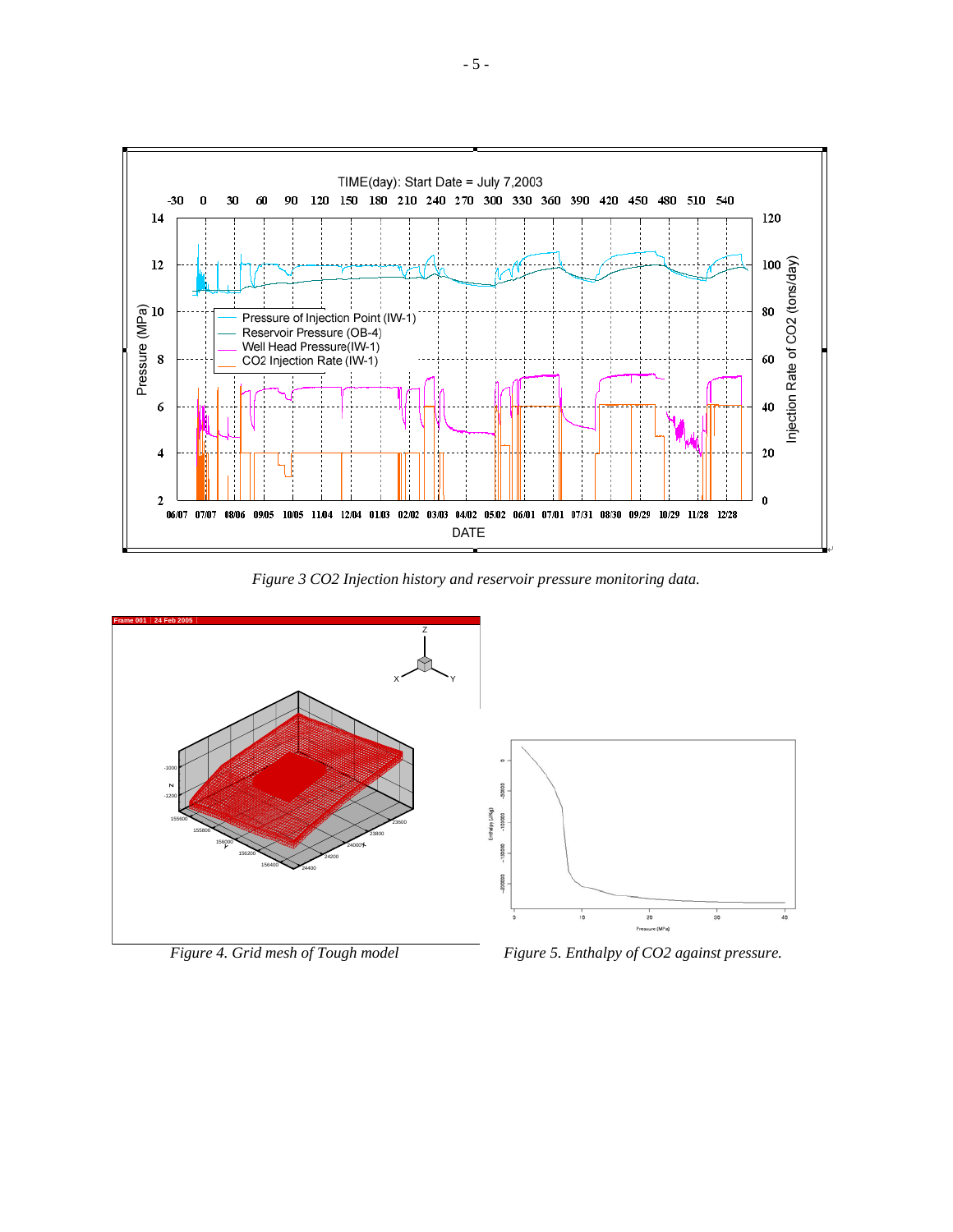

*Figure 3 CO2 Injection history and reservoir pressure monitoring data.* 

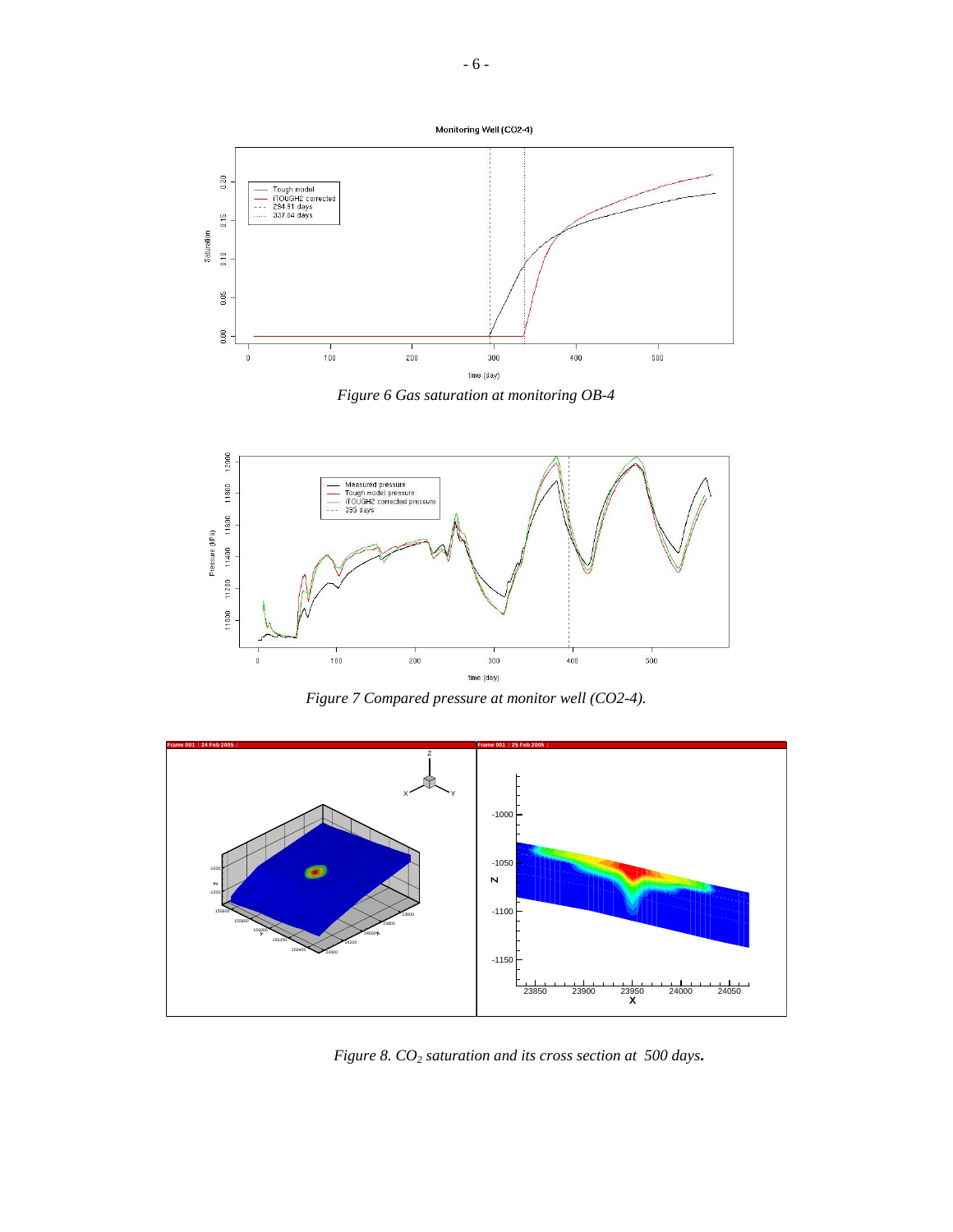



*Figure 6 Gas saturation at monitoring OB-4* 



*Figure 7 Compared pressure at monitor well (CO2-4).* 



*Figure 8. CO2 saturation and its cross section at 500 days***.**